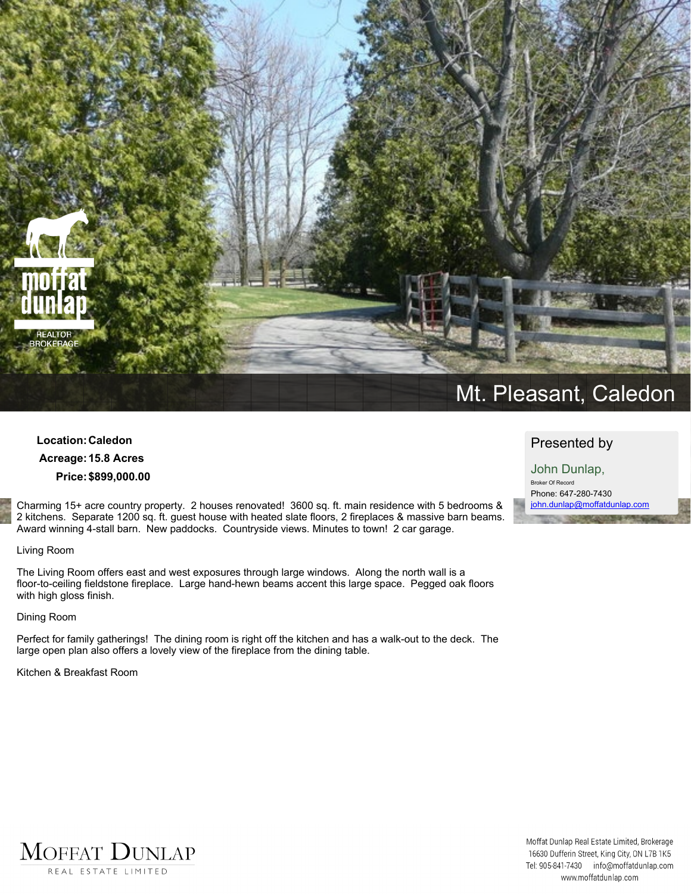

## **Location:Caledon Acreage:15.8 Acres Price:\$899,000.00**

**Charming 15+ acre country property. 2 houses renovated! 3600 sq. ft. main residence with 5 bedrooms &** 2 kitchens. Separate 1200 sq. ft. guest house with heated slate floors, 2 fireplaces & massive barn beams. **Award winning 4-stall barn. New paddocks. Countryside views. Minutes to town! 2 car garage.** 

#### **Living Room**

**The Living Room offers east and west exposures through large windows. Along the north wall is a floor-to-ceiling fieldstone fireplace. Large hand-hewn beams accent this large space. Pegged oak floors with high gloss finish.**

**Dining Room**

Perfect for family gatherings! The dining room is right off the kitchen and has a walk-out to the deck. The **large open plan also offers a lovely view of the fireplace from the dining table.**

**Kitchen & Breakfast Room**

# **Presented by**

**John Dunlap, Broker Of Record Phone: 647-280-7430 john.dunlap@moffatdunlap.com**



Moffat Dunlap Real Estate Limited, Brokerage 16630 Dufferin Street, King City, ON L7B 1K5 Tel: 905-841-7430 info@moffatdunlap.com www.moffatdunlap.com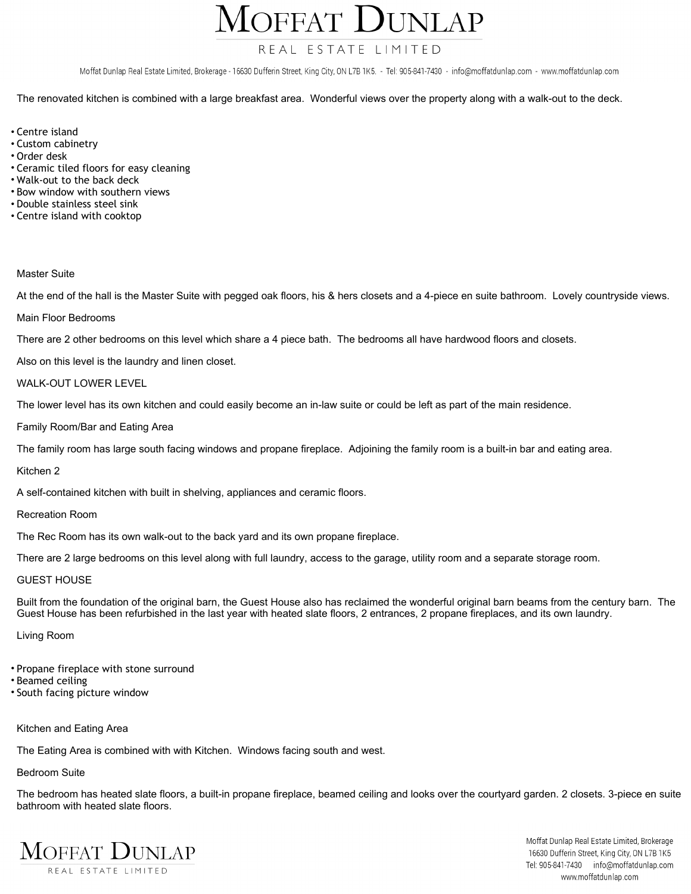OFFAT DUNLAP

## REAL ESTATE LIMITED

Moffat Dunlap Real Estate Limited, Brokerage - 16630 Dufferin Street, King City, ON L7B 1K5. - Tel: 905-841-7430 - info@moffatdunlap.com - www.moffatdunlap.com

The renovated kitchen is combined with a large breakfast area. Wonderful views over the property along with a walk-out to the deck.

- **• Centre island**
- **• Custom cabinetry**
- **• Order desk**
- **• Ceramic tiled floors for easy cleaning**
- **• Walk-out to the back deck**
- **• Bow window with southern views**
- **• Double stainless steel sink**
- **• Centre island with cooktop**

#### **Master Suite**

At the end of the hall is the Master Suite with pegged oak floors, his & hers closets and a 4-piece en suite bathroom. Lovely countryside views.

**Main Floor Bedrooms**

There are 2 other bedrooms on this level which share a 4 piece bath. The bedrooms all have hardwood floors and closets.

**Also on this level is the laundry and linen closet.**

#### **WALK-OUT LOWER LEVEL**

The lower level has its own kitchen and could easily become an in-law suite or could be left as part of the main residence.

**Family Room/Bar and Eating Area**

The family room has large south facing windows and propane fireplace. Adjoining the family room is a built-in bar and eating area.

**Kitchen 2**

**A self-contained kitchen with built in shelving, appliances and ceramic floors.**

**Recreation Room**

**The Rec Room has its own walk-out to the back yard and its own propane fireplace.**

There are 2 large bedrooms on this level along with full laundry, access to the garage, utility room and a separate storage room.

#### **GUEST HOUSE**

Built from the foundation of the original barn, the Guest House also has reclaimed the wonderful original barn beams from the century barn. The Guest House has been refurbished in the last year with heated slate floors, 2 entrances, 2 propane fireplaces, and its own laundry.

**Living Room**

- **• Propane fireplace with stone surround**
- **• Beamed ceiling**
- **• South facing picture window**

#### **Kitchen and Eating Area**

**The Eating Area is combined with with Kitchen. Windows facing south and west.**

### **Bedroom Suite**

The bedroom has heated slate floors, a built-in propane fireplace, beamed ceiling and looks over the courtyard garden. 2 closets. 3-piece en suite **bathroom with heated slate floors.**



Moffat Dunlap Real Estate Limited, Brokerage 16630 Dufferin Street, King City, ON L7B 1K5 Tel: 905-841-7430 info@moffatdunlap.com www.moffatdunlap.com